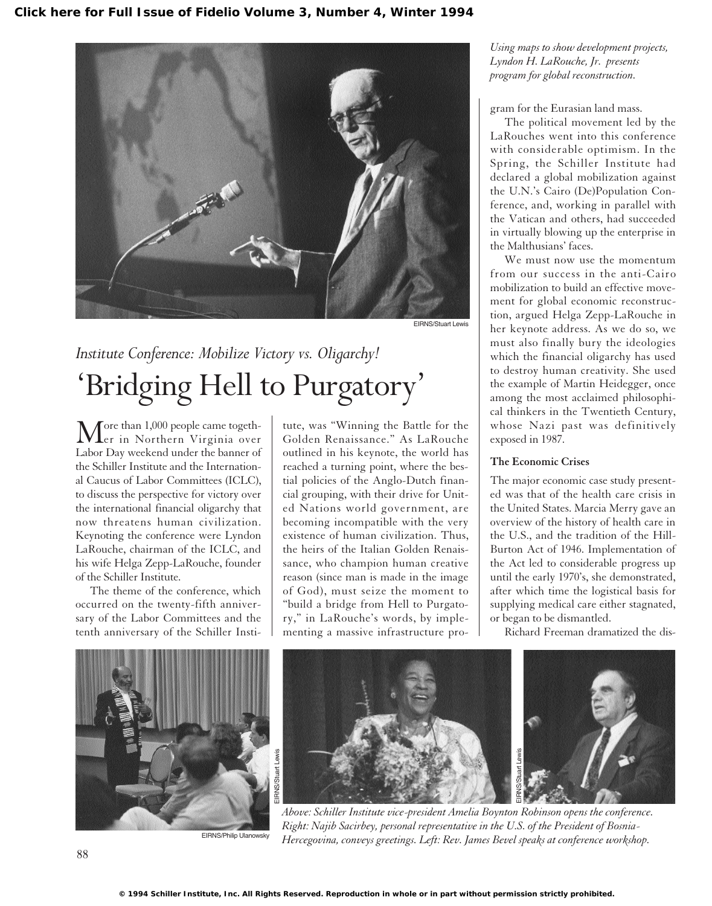

EIRNS/Stuart Lewis

## *Institute Conference: Mobilize Victory vs. Oligarchy!* 'Bridging Hell to Purgatory'

More than 1,000 people came togeth-<br>er in Northern Virginia over Labor Day weekend under the banner of the Schiller Institute and the International Caucus of Labor Committees (ICLC), to discuss the perspective for victory over the international financial oligarchy that now threatens human civilization. Keynoting the conference were Lyndon LaRouche, chairman of the ICLC, and his wife Helga Zepp-LaRouche, founder of the Schiller Institute.

The theme of the conference, which occurred on the twenty-fifth anniversary of the Labor Committees and the tenth anniversary of the Schiller Institute, was "Winning the Battle for the Golden Renaissance." As LaRouche outlined in his keynote, the world has reached a turning point, where the bestial policies of the Anglo-Dutch financial grouping, with their drive for United Nations world government, are becoming incompatible with the very existence of human civilization. Thus, the heirs of the Italian Golden Renaissance, who champion human creative reason (since man is made in the image of God), must seize the moment to "build a bridge from Hell to Purgatory," in LaRouche's words, by implementing a massive infrastructure pro-

*Using maps to show development projects, Lyndon H. LaRouche, Jr. presents program for global reconstruction.*

gram for the Eurasian land mass.

The political movement led by the LaRouches went into this conference with considerable optimism. In the Spring, the Schiller Institute had declared a global mobilization against the U.N.'s Cairo (De)Population Conference, and, working in parallel with the Vatican and others, had succeeded in virtually blowing up the enterprise in the Malthusians' faces.

We must now use the momentum from our success in the anti-Cairo mobilization to build an effective movement for global economic reconstruction, argued Helga Zepp-LaRouche in her keynote address. As we do so, we must also finally bury the ideologies which the financial oligarchy has used to destroy human creativity. She used the example of Martin Heidegger, once among the most acclaimed philosophical thinkers in the Twentieth Century, whose Nazi past was definitively exposed in 1987.

## **The Economic Crises**

The major economic case study presented was that of the health care crisis in the United States. Marcia Merry gave an overview of the history of health care in the U.S., and the tradition of the Hill-Burton Act of 1946. Implementation of the Act led to considerable progress up until the early 1970's, she demonstrated, after which time the logistical basis for supplying medical care either stagnated, or began to be dismantled.

Richard Freeman dramatized the dis-



EIRNS/Philip Ulanowsky



*Above: Schiller Institute vice-president Amelia Boynton Robinson opens the conference. Right: Najib Sacirbey, personal representative in the U.S. of the President of Bosnia-Hercegovina, conveys greetings. Left: Rev. James Bevel speaks at conference workshop.*